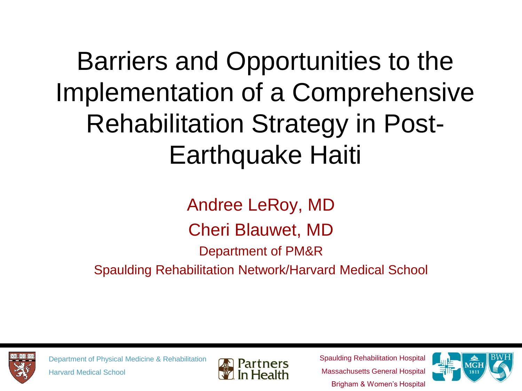Barriers and Opportunities to the Implementation of a Comprehensive Rehabilitation Strategy in Post-Earthquake Haiti

Andree LeRoy, MD Cheri Blauwet, MD Department of PM&R Spaulding Rehabilitation Network/Harvard Medical School



Department of Physical Medicine & Rehabilitation Harvard Medical School



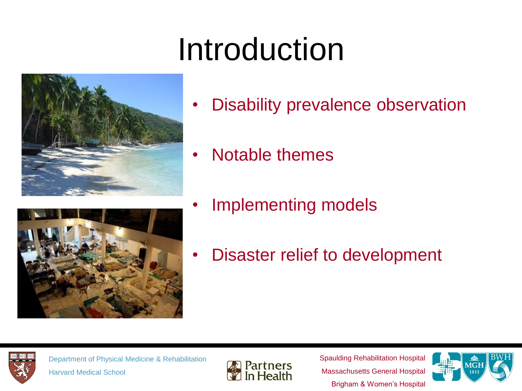## Introduction





- Notable themes
- Implementing models
- Disaster relief to development



Department of Physical Medicine & Rehabilitation Harvard Medical School



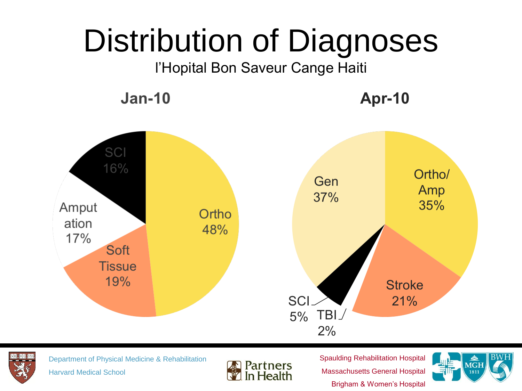## Distribution of Diagnoses

l'Hopital Bon Saveur Cange Haiti

**Jan-10** 

**Apr-10** 





Department of Physical Medicine & Rehabilitation Harvard Medical School



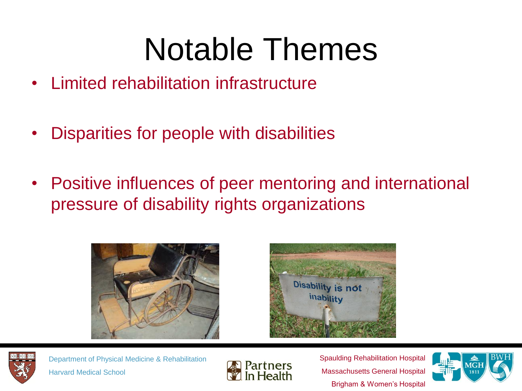### Notable Themes

- Limited rehabilitation infrastructure
- Disparities for people with disabilities
- Positive influences of peer mentoring and international pressure of disability rights organizations







Department of Physical Medicine & Rehabilitation Harvard Medical School



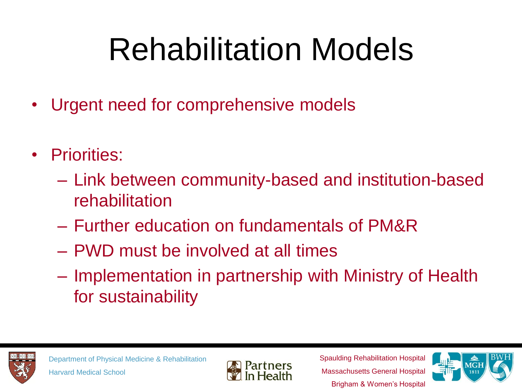# Rehabilitation Models

- Urgent need for comprehensive models
- Priorities:
	- Link between community-based and institution-based rehabilitation
	- Further education on fundamentals of PM&R
	- PWD must be involved at all times
	- Implementation in partnership with Ministry of Health for sustainability





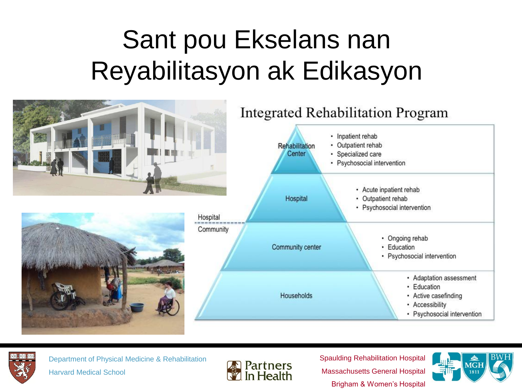#### Sant pou Ekselans nan Reyabilitasyon ak Edikasyon





Department of Physical Medicine & Rehabilitation Harvard Medical School



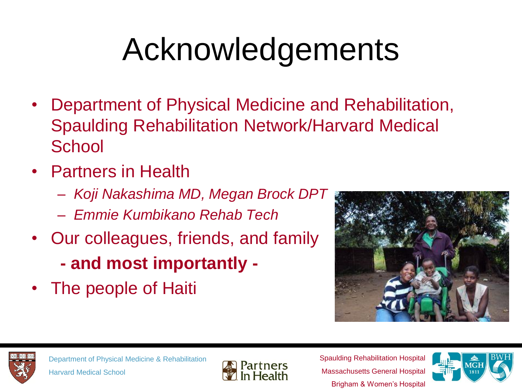# Acknowledgements

- Department of Physical Medicine and Rehabilitation, Spaulding Rehabilitation Network/Harvard Medical **School**
- Partners in Health
	- *Koji Nakashima MD, Megan Brock DPT*
	- *Emmie Kumbikano Rehab Tech*
- Our colleagues, friends, and family
	- **- and most importantly -**
- The people of Haiti